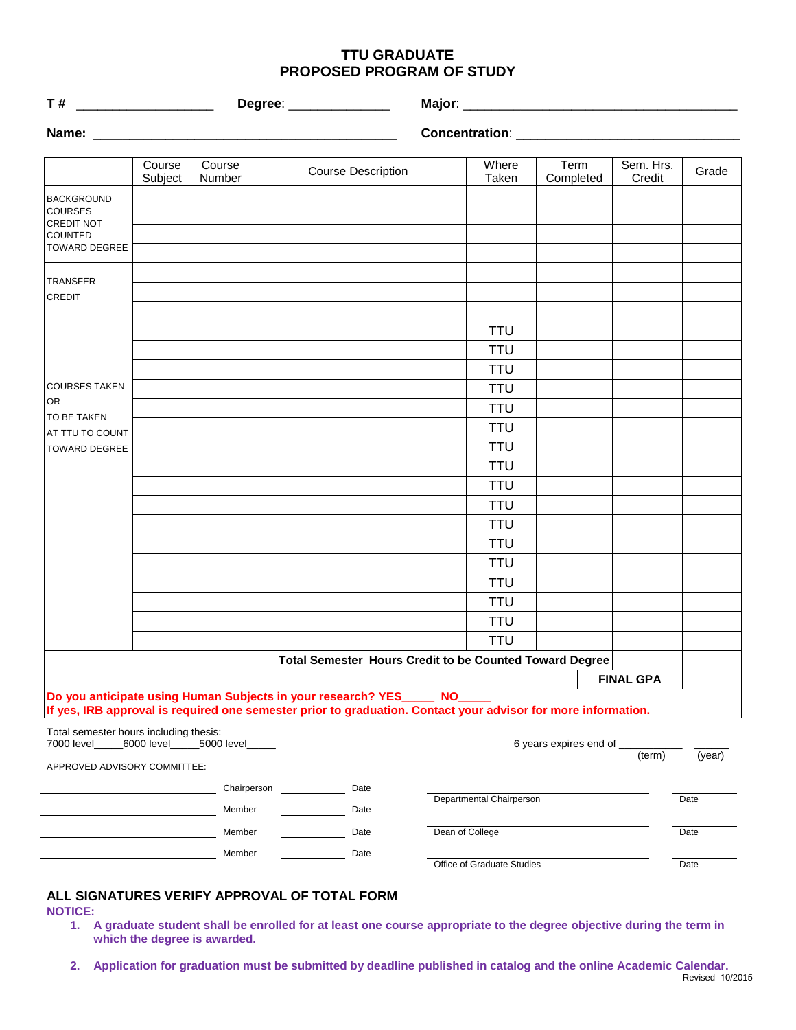## **TTU GRADUATE PROPOSED PROGRAM OF STUDY**

|                                        |                   |                                    |                                                                                                               |                 |                            | Major: 2008 2010 2020 2021 2022 2023 2024 2022 2023 2024 2022 2023 2024 2022 2023 2024 2022 2023 2024 2022 20 |                     |        |
|----------------------------------------|-------------------|------------------------------------|---------------------------------------------------------------------------------------------------------------|-----------------|----------------------------|---------------------------------------------------------------------------------------------------------------|---------------------|--------|
|                                        |                   |                                    |                                                                                                               |                 |                            |                                                                                                               |                     |        |
|                                        | Course<br>Subject | Course<br>Number                   | <b>Course Description</b>                                                                                     |                 | Where<br>Taken             | Term<br>Completed                                                                                             | Sem. Hrs.<br>Credit | Grade  |
| <b>BACKGROUND</b>                      |                   |                                    |                                                                                                               |                 |                            |                                                                                                               |                     |        |
| <b>COURSES</b><br>CREDIT NOT           |                   |                                    |                                                                                                               |                 |                            |                                                                                                               |                     |        |
| COUNTED<br>TOWARD DEGREE               |                   |                                    |                                                                                                               |                 |                            |                                                                                                               |                     |        |
|                                        |                   |                                    |                                                                                                               |                 |                            |                                                                                                               |                     |        |
| <b>TRANSFER</b>                        |                   |                                    |                                                                                                               |                 |                            |                                                                                                               |                     |        |
| CREDIT                                 |                   |                                    |                                                                                                               |                 |                            |                                                                                                               |                     |        |
|                                        |                   |                                    |                                                                                                               |                 | <b>TTU</b>                 |                                                                                                               |                     |        |
|                                        |                   |                                    |                                                                                                               |                 | <b>TTU</b>                 |                                                                                                               |                     |        |
|                                        |                   |                                    |                                                                                                               |                 | <b>TTU</b>                 |                                                                                                               |                     |        |
| <b>COURSES TAKEN</b>                   |                   |                                    |                                                                                                               |                 | <b>TTU</b>                 |                                                                                                               |                     |        |
| <b>OR</b>                              |                   |                                    |                                                                                                               |                 | <b>TTU</b>                 |                                                                                                               |                     |        |
| TO BE TAKEN<br>AT TTU TO COUNT         |                   |                                    |                                                                                                               |                 | <b>TTU</b>                 |                                                                                                               |                     |        |
| TOWARD DEGREE                          |                   |                                    |                                                                                                               |                 | <b>TTU</b>                 |                                                                                                               |                     |        |
|                                        |                   |                                    |                                                                                                               |                 | <b>TTU</b>                 |                                                                                                               |                     |        |
|                                        |                   |                                    |                                                                                                               |                 | <b>TTU</b>                 |                                                                                                               |                     |        |
|                                        |                   |                                    |                                                                                                               |                 | <b>TTU</b>                 |                                                                                                               |                     |        |
|                                        |                   |                                    |                                                                                                               |                 | <b>TTU</b>                 |                                                                                                               |                     |        |
|                                        |                   |                                    |                                                                                                               |                 | <b>TTU</b>                 |                                                                                                               |                     |        |
|                                        |                   |                                    |                                                                                                               |                 | <b>TTU</b>                 |                                                                                                               |                     |        |
|                                        |                   |                                    |                                                                                                               |                 | <b>TTU</b>                 |                                                                                                               |                     |        |
|                                        |                   |                                    |                                                                                                               |                 | <b>TTU</b>                 |                                                                                                               |                     |        |
|                                        |                   |                                    |                                                                                                               |                 | <b>TTU</b>                 |                                                                                                               |                     |        |
|                                        |                   |                                    |                                                                                                               |                 | <b>TTU</b>                 |                                                                                                               |                     |        |
|                                        |                   |                                    | <b>Total Semester Hours Credit to be Counted Toward Degree</b>                                                |                 |                            |                                                                                                               |                     |        |
|                                        |                   |                                    | Do you anticipate using Human Subjects in your research? YES_                                                 | <b>NO</b>       |                            |                                                                                                               | <b>FINAL GPA</b>    |        |
|                                        |                   |                                    | If yes, IRB approval is required one semester prior to graduation. Contact your advisor for more information. |                 |                            |                                                                                                               |                     |        |
| Total semester hours including thesis: |                   |                                    |                                                                                                               |                 |                            |                                                                                                               |                     |        |
| 7000 level_                            |                   | _6000 level_______5000 level______ |                                                                                                               |                 |                            | 6 years expires end of _                                                                                      | (term)              | (year) |
| APPROVED ADVISORY COMMITTEE:           |                   |                                    |                                                                                                               |                 |                            |                                                                                                               |                     |        |
|                                        |                   | Chairperson                        | Date                                                                                                          |                 | Departmental Chairperson   |                                                                                                               |                     | Date   |
|                                        |                   | Member                             | Date                                                                                                          |                 |                            |                                                                                                               |                     |        |
|                                        |                   | Member                             | Date                                                                                                          | Dean of College |                            |                                                                                                               |                     | Date   |
|                                        |                   | Member                             | Date                                                                                                          |                 |                            |                                                                                                               |                     |        |
|                                        |                   |                                    |                                                                                                               |                 | Office of Graduate Studies |                                                                                                               |                     | Date   |

## **ALL SIGNATURES VERIFY APPROVAL OF TOTAL FORM**

**NOTICE:**

- **1. A graduate student shall be enrolled for at least one course appropriate to the degree objective during the term in which the degree is awarded.**
- **2. Application for graduation must be submitted by deadline published in catalog and the online Academic Calendar.**